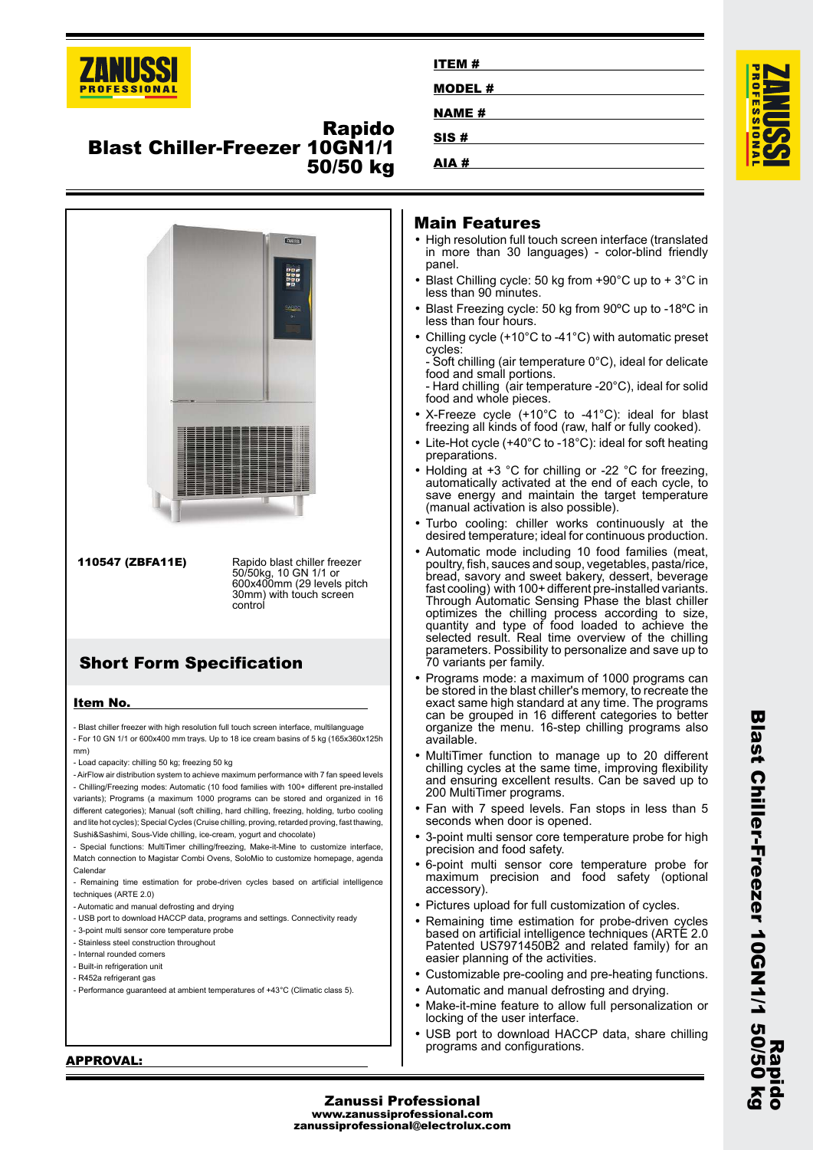

## **Rapido Blast Chiller-Freezer 10GN1/1 50/50 kg**



| ITEM#         |  |
|---------------|--|
|               |  |
| <b>MODEL#</b> |  |
| <b>NAME#</b>  |  |
| SIS#          |  |
| AIA#          |  |



#### **Main Features**

- High resolution full touch screen interface (translated in more than 30 languages) - color-blind friendly panel.
- Blast Chilling cycle: 50 kg from +90°C up to + 3°C in less than 90 minutes.
- Blast Freezing cycle: 50 kg from 90ºC up to -18ºC in less than four hours.
- • Chilling cycle (+10°C to -41°C) with automatic preset cycles:

- Soft chilling (air temperature 0°C), ideal for delicate food and small portions.

- Hard chilling (air temperature -20°C), ideal for solid food and whole pieces.

- • X-Freeze cycle (+10°C to -41°C): ideal for blast freezing all kinds of food (raw, half or fully cooked).
- Lite-Hot cycle (+40°C to -18°C): ideal for soft heating preparations.
- • Holding at +3 °C for chilling or -22 °C for freezing, automatically activated at the end of each cycle, to save energy and maintain the target temperature (manual activation is also possible).
- • Turbo cooling: chiller works continuously at the desired temperature; ideal for continuous production.
- • Automatic mode including 10 food families (meat, poultry, fish, sauces and soup, vegetables, pasta/rice, bread, savory and sweet bakery, dessert, beverage fast cooling) with 100+ different pre-installed variants. Through Automatic Sensing Phase the blast chiller optimizes the chilling process according to size, quantity and type of food loaded to achieve the selected result. Real time overview of the chilling parameters. Possibility to personalize and save up to 70 variants per family.
- Programs mode: a maximum of 1000 programs can be stored in the blast chiller's memory, to recreate the exact same high standard at any time. The programs can be grouped in 16 different categories to better organize the menu. 16-step chilling programs also available.
- MultiTimer function to manage up to 20 different chilling cycles at the same time, improving flexibility and ensuring excellent results. Can be saved up to 200 MultiTimer programs.
- Fan with 7 speed levels. Fan stops in less than 5 seconds when door is opened.
- • 3-point multi sensor core temperature probe for high precision and food safety.
- • 6-point multi sensor core temperature probe for maximum precision and food safety (optional accessory).
- Pictures upload for full customization of cycles.
- Remaining time estimation for probe-driven cycles based on artificial intelligence techniques (ARTE 2.0 Patented US7971450B2 and related family) for an easier planning of the activities.
- Customizable pre-cooling and pre-heating functions.
- Automatic and manual defrosting and drying.
- • Make-it-mine feature to allow full personalization or locking of the user interface.
- • USB port to download HACCP data, share chilling programs and configurations.

#### **APPROVAL:**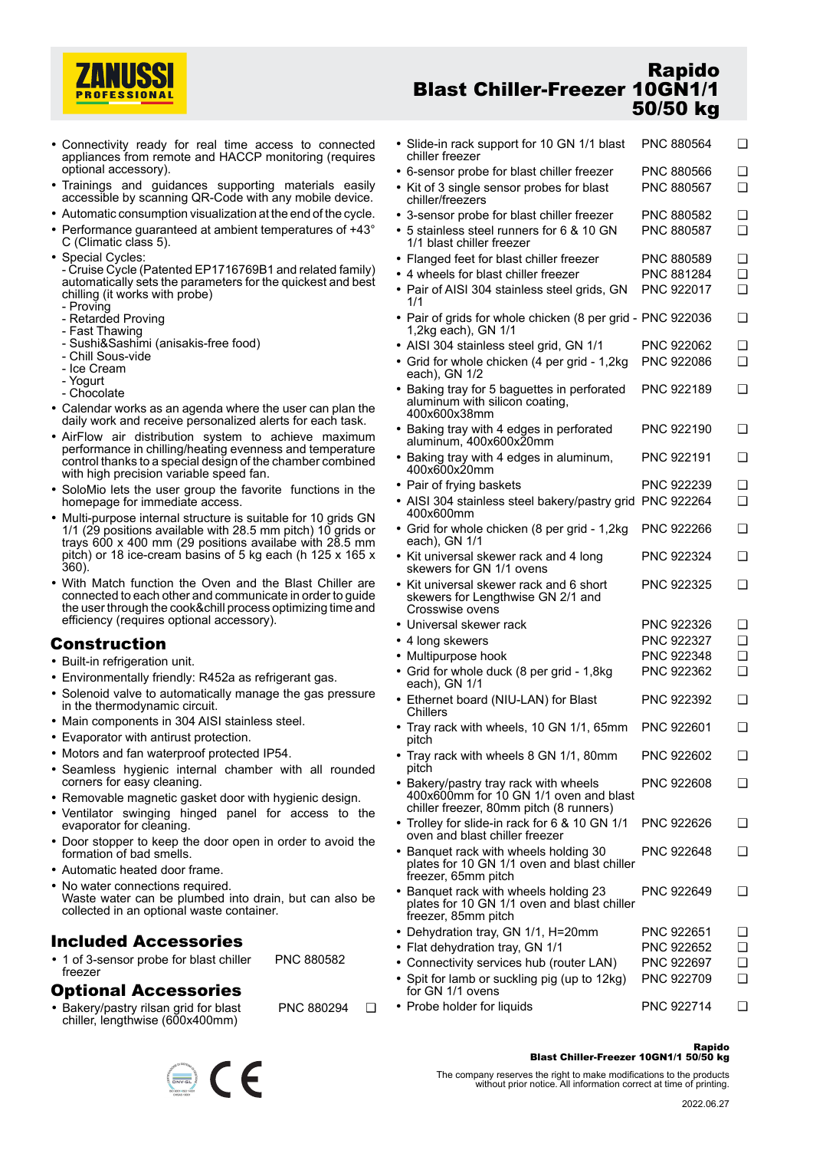

- Connectivity ready for real time access to connected appliances from remote and HACCP monitoring (requires optional accessory).
- Trainings and guidances supporting materials easily accessible by scanning QR-Code with any mobile device.
- Automatic consumption visualization at the end of the cycle.
- •Performance guaranteed at ambient temperatures of +43°
- C (Climatic class 5).
- Special Cycles: - Cruise Cycle (Patented EP1716769B1 and related family) automatically sets the parameters for the quickest and best chilling (it works with probe)
	- Proving
	- Retarded Proving
	- Fast Thawing
	- Sushi&Sashimi (anisakis-free food)
	- Chill Sous-vide
	- Ice Cream
	- Yogurt
	- Chocolate
- Calendar works as an agenda where the user can plan the daily work and receive personalized alerts for each task.
- AirFlow air distribution system to achieve maximum performance in chilling/heating evenness and temperature control thanks to a special design of the chamber combined with high precision variable speed fan.
- • SoloMio lets the user group the favorite functions in the homepage for immediate access.
- Multi-purpose internal structure is suitable for 10 grids GN 1/1 (29 positions available with 28.5 mm pitch) 10 grids or trays 600 x 400 mm (29 positions availabe with 28.5 mm pitch) or 18 ice-cream basins of 5 kg each (h 125 x 165 x 360).
- With Match function the Oven and the Blast Chiller are connected to each other and communicate in order to guide the user through the cook&chill process optimizing time and efficiency (requires optional accessory).

### **Construction**

- Built-in refrigeration unit.
- Environmentally friendly: R452a as refrigerant gas.
- • Solenoid valve to automatically manage the gas pressure in the thermodynamic circuit.
- Main components in 304 AISI stainless steel.
- Evaporator with antirust protection.
- Motors and fan waterproof protected IP54.
- Seamless hygienic internal chamber with all rounded corners for easy cleaning.
- Removable magnetic gasket door with hygienic design.
- Ventilator swinging hinged panel for access to the evaporator for cleaning.
- • Door stopper to keep the door open in order to avoid the formation of bad smells.
- Automatic heated door frame.
- No water connections required. Waste water can be plumbed into drain, but can also be collected in an optional waste container.

PNC 880294 ❑

### **Included Accessories**

• 1 of 3-sensor probe for blast chiller freezer PNC 880582

# **Optional Accessories**

• Bakery/pastry rilsan grid for blast chiller, lengthwise (600x400mm)

## **Rapido Blast Chiller-Freezer 10GN1/1 50/50 kg**

| • Slide-in rack support for 10 GN 1/1 blast<br>chiller freezer                                                             | PNC 880564               | ❏             |
|----------------------------------------------------------------------------------------------------------------------------|--------------------------|---------------|
| • 6-sensor probe for blast chiller freezer<br>• Kit of 3 single sensor probes for blast<br>chiller/freezers                | PNC 880566<br>PNC 880567 | ❏<br><b>□</b> |
| • 3-sensor probe for blast chiller freezer<br>• 5 stainless steel runners for 6 & 10 GN<br>1/1 blast chiller freezer       | PNC 880582<br>PNC 880587 | ❏<br>◻        |
| • Flanged feet for blast chiller freezer<br>• 4 wheels for blast chiller freezer                                           | PNC 880589<br>PNC 881284 | ❏<br>◻        |
| • Pair of AISI 304 stainless steel grids, GN<br>1/1                                                                        | PNC 922017               | ❏             |
| • Pair of grids for whole chicken (8 per grid - PNC 922036<br>1,2kg each), GN 1/1                                          |                          | ❏             |
| • AISI 304 stainless steel grid, GN 1/1                                                                                    | PNC 922062               | ❏             |
| • Grid for whole chicken (4 per grid - 1,2kg<br>each), GN 1/2                                                              | PNC 922086               | ◻             |
| • Baking tray for 5 baguettes in perforated<br>aluminum with silicon coating,<br>400x600x38mm                              | PNC 922189               | ❏             |
| • Baking tray with 4 edges in perforated<br>aluminum, 400x600x20mm                                                         | PNC 922190               | ❏             |
| • Baking tray with 4 edges in aluminum,<br>400x600x20mm                                                                    | PNC 922191               | □             |
| • Pair of frying baskets                                                                                                   | PNC 922239               | ❏             |
| • AISI 304 stainless steel bakery/pastry grid PNC 922264<br>400x600mm                                                      |                          | ◻             |
| • Grid for whole chicken (8 per grid - 1,2kg<br>each), GN 1/1                                                              | PNC 922266               | ❏             |
| • Kit universal skewer rack and 4 long<br>skewers for GN 1/1 ovens                                                         | PNC 922324               | ❏             |
| • Kit universal skewer rack and 6 short<br>skewers for Lengthwise GN 2/1 and<br>Crosswise ovens                            | PNC 922325               | ❏             |
| • Universal skewer rack                                                                                                    | PNC 922326               | ❏             |
| • 4 long skewers                                                                                                           | PNC 922327               | ◻             |
| • Multipurpose hook                                                                                                        | PNC 922348               | ◻             |
| • Grid for whole duck (8 per grid - 1,8kg<br>each), GN 1/1                                                                 | PNC 922362               | ◻             |
| • Ethernet board (NIU-LAN) for Blast<br>Chillers                                                                           | PNC 922392               | ❏             |
| • Tray rack with wheels, 10 GN 1/1, 65mm<br>pitch                                                                          | PNC 922601               | ❏             |
| • Tray rack with wheels 8 GN 1/1, 80mm<br>pitch                                                                            | PNC 922602               | ❏             |
| • Bakery/pastry tray rack with wheels<br>400x600mm for 10 GN 1/1 oven and blast<br>chiller freezer, 80mm pitch (8 runners) | PNC 922608               | ❏             |
| • Trolley for slide-in rack for 6 & 10 GN 1/1<br>oven and blast chiller freezer                                            | PNC 922626               | ❏             |
| • Banquet rack with wheels holding 30<br>plates for 10 GN 1/1 oven and blast chiller<br>freezer, 65mm pitch                | PNC 922648               | ❏             |
| • Banquet rack with wheels holding 23<br>plates for 10 GN 1/1 oven and blast chiller<br>freezer, 85mm pitch                | PNC 922649               | ❏             |
| • Dehydration tray, GN 1/1, H=20mm                                                                                         | PNC 922651               | ❏             |
| • Flat dehydration tray, GN 1/1                                                                                            | PNC 922652               | ❏             |
| • Connectivity services hub (router LAN)                                                                                   | PNC 922697               | ◻             |
| • Spit for lamb or suckling pig (up to 12kg)<br>for GN 1/1 ovens                                                           | PNC 922709               | <b>□</b>      |
|                                                                                                                            |                          |               |

• Probe holder for liquids PNC 922714 ❑

#### **Rapido**

### **Blast Chiller-Freezer 10GN1/1 50/50 kg**

The company reserves the right to make modifications to the products without prior notice. All information correct at time of printing.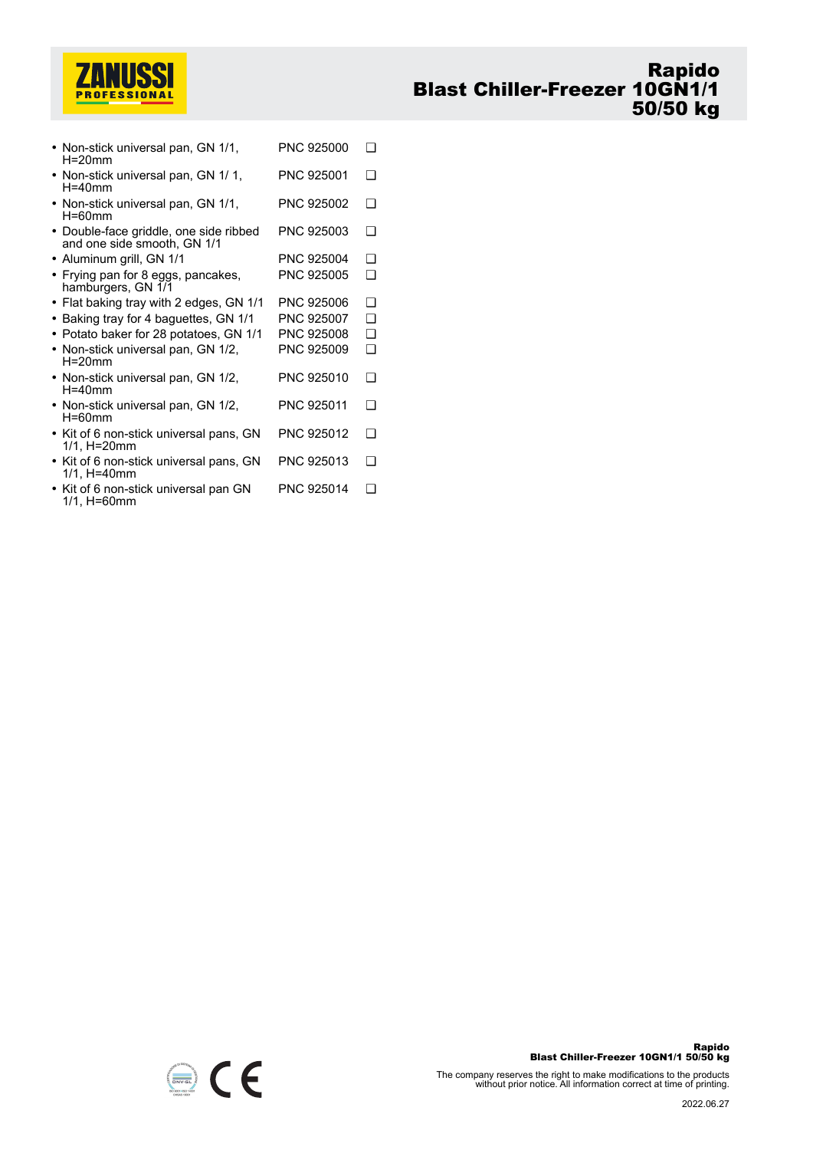

| • Non-stick universal pan, GN 1/1,<br>$H = 20$ mm                     | PNC 925000 | ∩        |
|-----------------------------------------------------------------------|------------|----------|
| • Non-stick universal pan, GN 1/1,<br>$H = 40$ mm                     | PNC 925001 | ∩        |
| • Non-stick universal pan, GN 1/1,<br>$H = 60$ mm                     | PNC 925002 | ∩        |
| • Double-face griddle, one side ribbed<br>and one side smooth, GN 1/1 | PNC 925003 | ❏        |
| • Aluminum grill, GN 1/1                                              | PNC 925004 | ∩        |
| • Frying pan for 8 eggs, pancakes,<br>hamburgers, GN 1/1              | PNC 925005 | ∩        |
| • Flat baking tray with 2 edges, GN 1/1                               | PNC 925006 | ❏        |
| • Baking tray for 4 baguettes, GN 1/1                                 | PNC 925007 | ∩        |
| • Potato baker for 28 potatoes, GN 1/1                                | PNC 925008 | <b>□</b> |
| • Non-stick universal pan, GN 1/2,<br>$H=20$ mm                       | PNC 925009 | <b>□</b> |
| • Non-stick universal pan, GN 1/2,<br>$H = 40$ mm                     | PNC 925010 | ∩        |
| • Non-stick universal pan, GN 1/2,<br>$H = 60$ mm                     | PNC 925011 | ∩        |
| • Kit of 6 non-stick universal pans, GN<br>$1/1$ , H=20mm             | PNC 925012 | ∩        |
| • Kit of 6 non-stick universal pans, GN<br>$1/1$ , H=40mm             | PNC 925013 | ∩        |
| • Kit of 6 non-stick universal pan GN<br>1/1, H=60mm                  | PNC 925014 | ∩        |